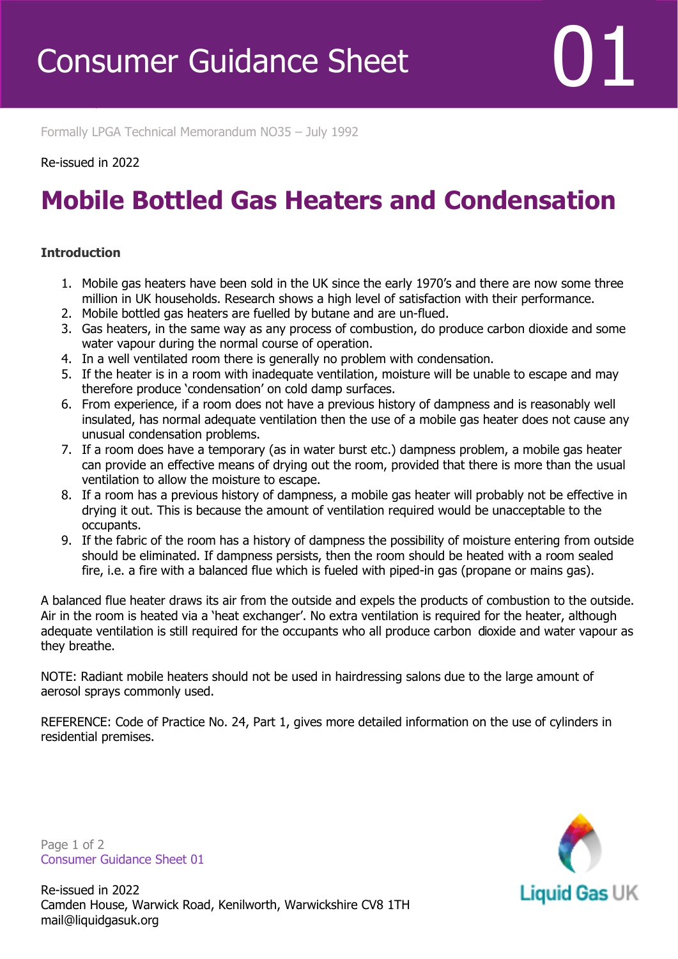Formally LPGA Technical Memorandum NO35 – July 1992

## Re-issued in 2022

Revised April 2016

## **Mobile Bottled Gas Heaters and Condensation**

## **Introduction**

- 1. Mobile gas heaters have been sold in the UK since the early 1970's and there are now some three million in UK households. Research shows a high level of satisfaction with their performance.
- 2. Mobile bottled gas heaters are fuelled by butane and are un-flued.
- 3. Gas heaters, in the same way as any process of combustion, do produce carbon dioxide and some water vapour during the normal course of operation.
- 4. In a well ventilated room there is generally no problem with condensation.
- 5. If the heater is in a room with inadequate ventilation, moisture will be unable to escape and may therefore produce 'condensation' on cold damp surfaces.
- 6. From experience, if a room does not have a previous history of dampness and is reasonably well insulated, has normal adequate ventilation then the use of a mobile gas heater does not cause any unusual condensation problems.
- 7. If a room does have a temporary (as in water burst etc.) dampness problem, a mobile gas heater can provide an effective means of drying out the room, provided that there is more than the usual ventilation to allow the moisture to escape.
- 8. If a room has a previous history of dampness, a mobile gas heater will probably not be effective in drying it out. This is because the amount of ventilation required would be unacceptable to the occupants.
- 9. If the fabric of the room has a history of dampness the possibility of moisture entering from outside should be eliminated. If dampness persists, then the room should be heated with a room sealed fire, i.e. a fire with a balanced flue which is fueled with piped-in gas (propane or mains gas).

A balanced flue heater draws its air from the outside and expels the products of combustion to the outside. Air in the room is heated via a 'heat exchanger'. No extra ventilation is required for the heater, although adequate ventilation is still required for the occupants who all produce carbon dioxide and water vapour as they breathe.

NOTE: Radiant mobile heaters should not be used in hairdressing salons due to the large amount of aerosol sprays commonly used.

REFERENCE: Code of Practice No. 24, Part 1, gives more detailed information on the use of cylinders in residential premises.

Page 1 of 2 Consumer Guidance Sheet 01